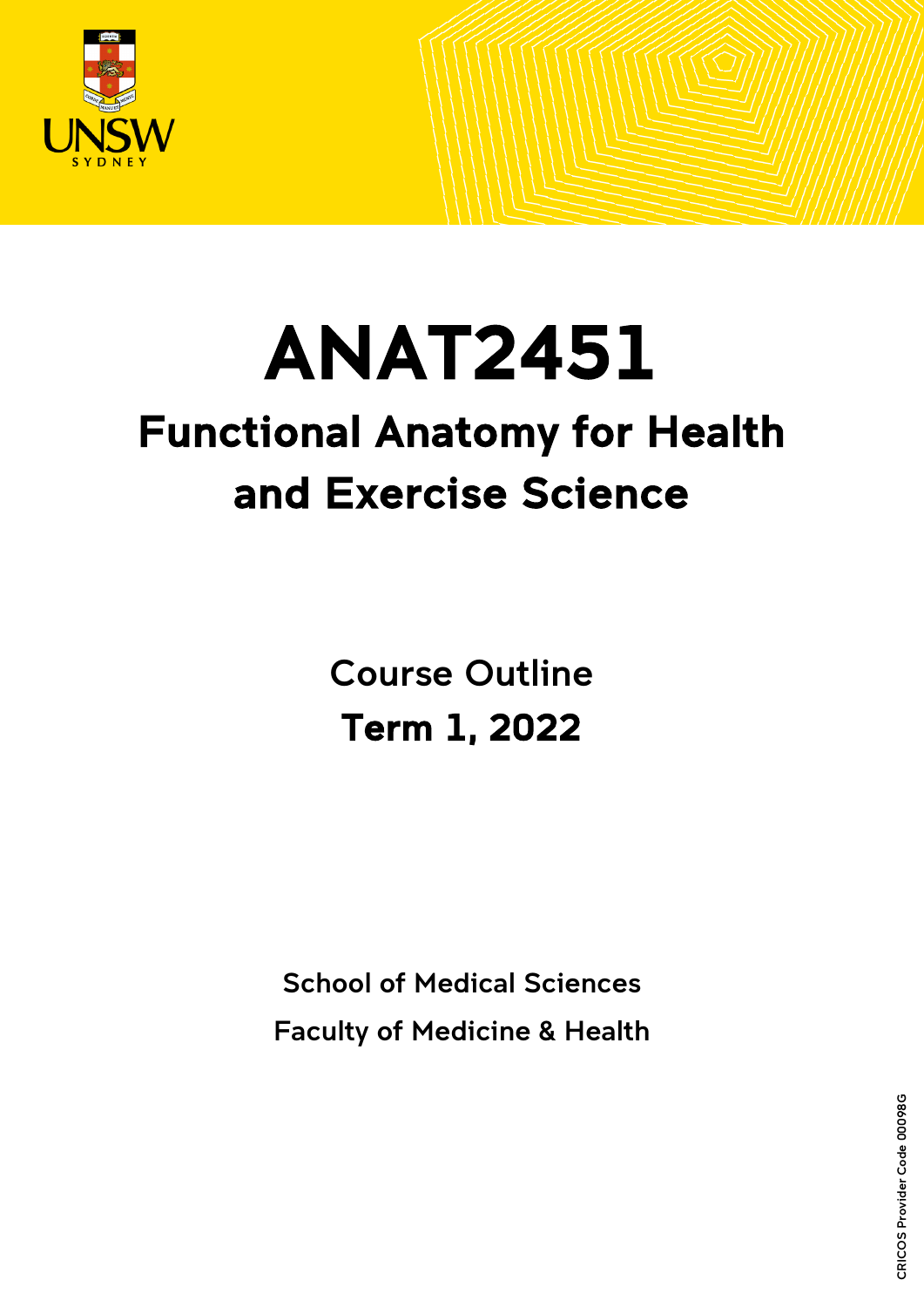

# ANAT2451 Functional Anatomy for Health

# and Exercise Science

Course Outline Term 1, 2022

School of Medical Sciences Faculty of Medicine & Health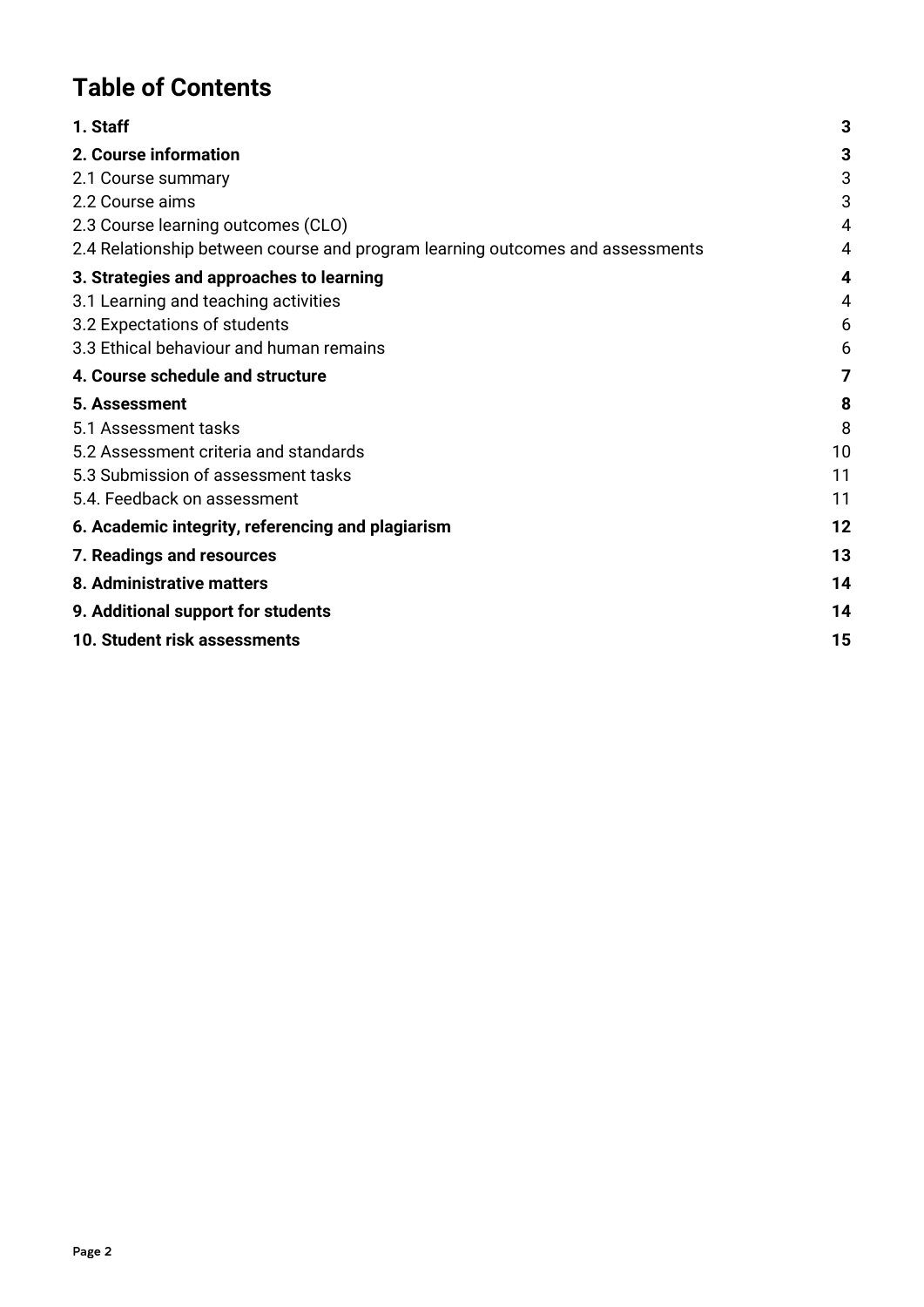# **Table of Contents**

| 1. Staff                                                                      | 3  |
|-------------------------------------------------------------------------------|----|
| 2. Course information                                                         | 3  |
| 2.1 Course summary                                                            | 3  |
| 2.2 Course aims                                                               | 3  |
| 2.3 Course learning outcomes (CLO)                                            | 4  |
| 2.4 Relationship between course and program learning outcomes and assessments | 4  |
| 3. Strategies and approaches to learning                                      | 4  |
| 3.1 Learning and teaching activities                                          | 4  |
| 3.2 Expectations of students                                                  | 6  |
| 3.3 Ethical behaviour and human remains                                       | 6  |
| 4. Course schedule and structure                                              | 7  |
| 5. Assessment                                                                 | 8  |
| 5.1 Assessment tasks                                                          | 8  |
| 5.2 Assessment criteria and standards                                         | 10 |
| 5.3 Submission of assessment tasks                                            | 11 |
| 5.4. Feedback on assessment                                                   | 11 |
| 6. Academic integrity, referencing and plagiarism                             | 12 |
| 7. Readings and resources                                                     | 13 |
| 8. Administrative matters                                                     | 14 |
| 9. Additional support for students                                            | 14 |
| 10. Student risk assessments                                                  | 15 |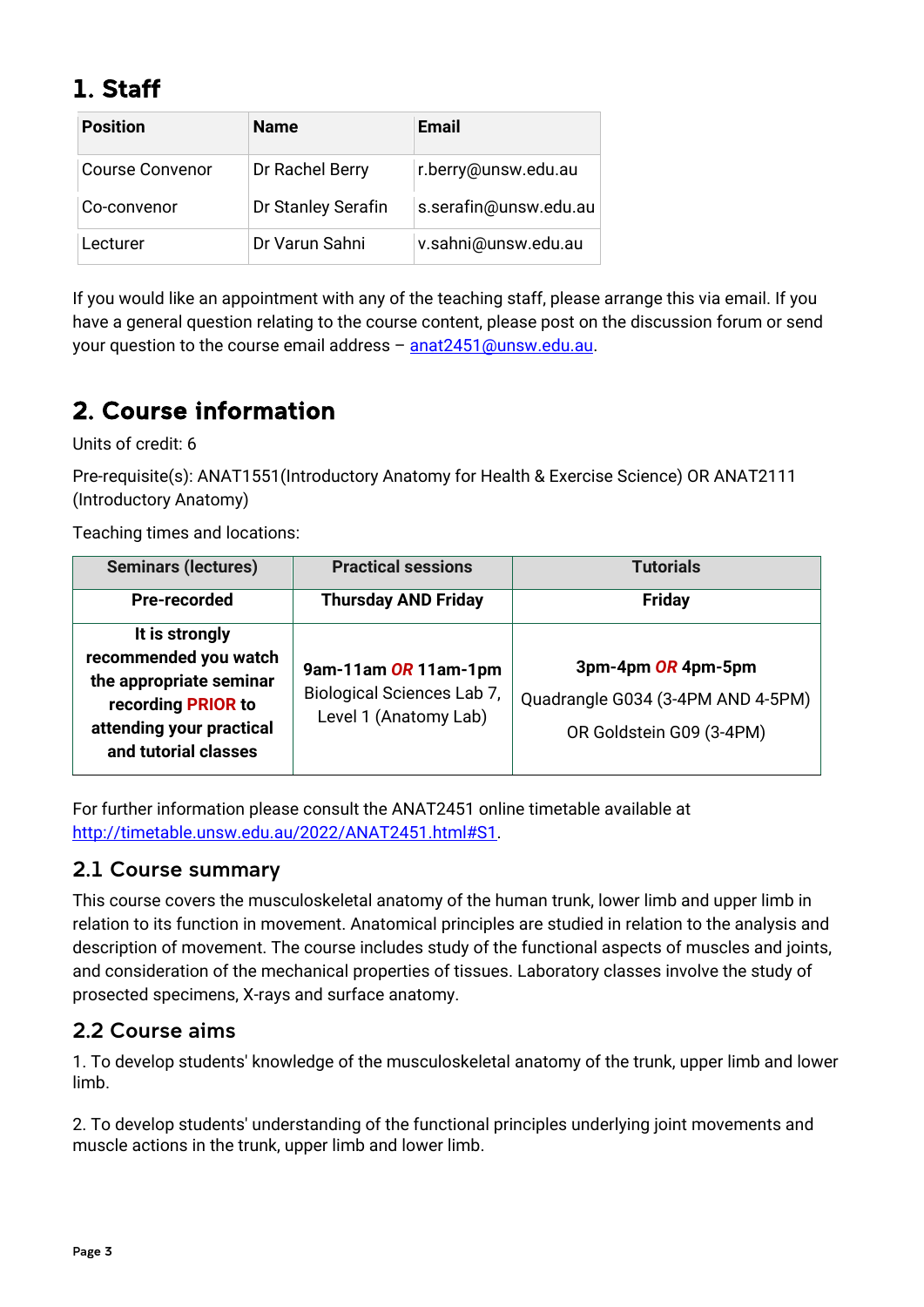# <span id="page-2-0"></span>1. Staff

|                        | <b>Position</b> | <b>Name</b>        | Email                 |
|------------------------|-----------------|--------------------|-----------------------|
| <b>Course Convenor</b> |                 | Dr Rachel Berry    | r.berry@unsw.edu.au   |
|                        | Co-convenor     | Dr Stanley Serafin | s.serafin@unsw.edu.au |
|                        | Lecturer        | Dr Varun Sahni     | v.sahni@unsw.edu.au   |

If you would like an appointment with any of the teaching staff, please arrange this via email. If you have a general question relating to the course content, please post on the discussion forum or send your question to the course email address - [anat2451@unsw.edu.au.](mailto:anat2451@unsw.edu.au)

# <span id="page-2-1"></span>2. Course information

Units of credit: 6

Pre-requisite(s): ANAT1551(Introductory Anatomy for Health & Exercise Science) OR ANAT2111 (Introductory Anatomy)

Teaching times and locations:

| <b>Seminars (lectures)</b>                                                                                                                   | <b>Practical sessions</b>                                                   | <b>Tutorials</b>                                                                    |
|----------------------------------------------------------------------------------------------------------------------------------------------|-----------------------------------------------------------------------------|-------------------------------------------------------------------------------------|
| <b>Pre-recorded</b>                                                                                                                          | <b>Thursday AND Friday</b>                                                  | <b>Friday</b>                                                                       |
| It is strongly<br>recommended you watch<br>the appropriate seminar<br>recording PRIOR to<br>attending your practical<br>and tutorial classes | 9am-11am OR 11am-1pm<br>Biological Sciences Lab 7,<br>Level 1 (Anatomy Lab) | 3pm-4pm OR 4pm-5pm<br>Quadrangle G034 (3-4PM AND 4-5PM)<br>OR Goldstein G09 (3-4PM) |

For further information please consult the ANAT2451 online timetable available at [http://timetable.unsw.edu.au/2022/ANAT2451.html#S1.](http://timetable.unsw.edu.au/2022/ANAT2451.html#S1)

### <span id="page-2-2"></span>2.1 Course summary

This course covers the musculoskeletal anatomy of the human trunk, lower limb and upper limb in relation to its function in movement. Anatomical principles are studied in relation to the analysis and description of movement. The course includes study of the functional aspects of muscles and joints, and consideration of the mechanical properties of tissues. Laboratory classes involve the study of prosected specimens, X-rays and surface anatomy.

### <span id="page-2-3"></span>2.2 Course aims

1. To develop students' knowledge of the musculoskeletal anatomy of the trunk, upper limb and lower limb.

2. To develop students' understanding of the functional principles underlying joint movements and muscle actions in the trunk, upper limb and lower limb.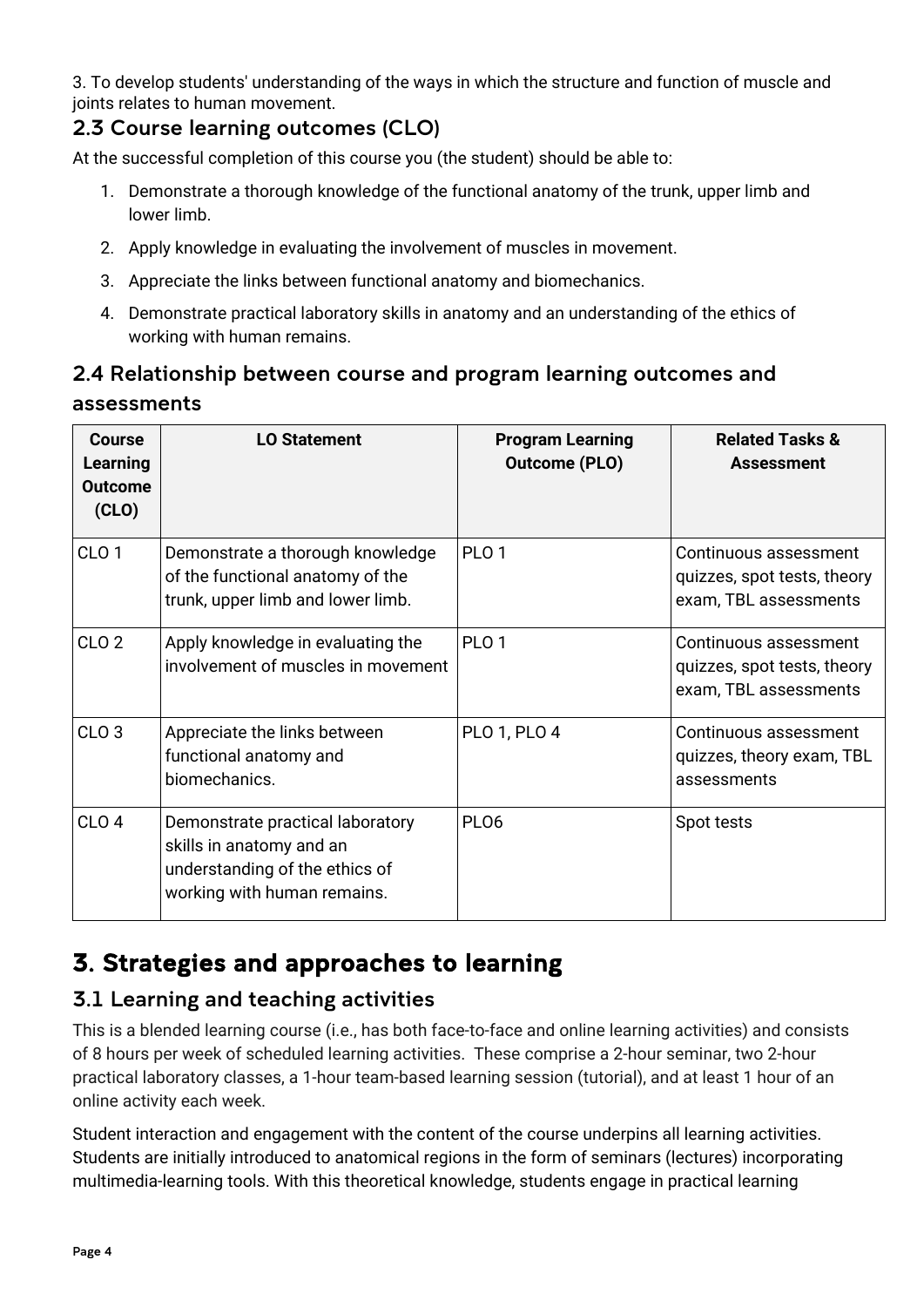3. To develop students' understanding of the ways in which the structure and function of muscle and joints relates to human movement.

## <span id="page-3-0"></span>2.3 Course learning outcomes (CLO)

At the successful completion of this course you (the student) should be able to:

- 1. Demonstrate a thorough knowledge of the functional anatomy of the trunk, upper limb and lower limb.
- 2. Apply knowledge in evaluating the involvement of muscles in movement.
- 3. Appreciate the links between functional anatomy and biomechanics.
- 4. Demonstrate practical laboratory skills in anatomy and an understanding of the ethics of working with human remains.

# <span id="page-3-1"></span>2.4 Relationship between course and program learning outcomes and assessments

| <b>Course</b><br><b>Learning</b><br><b>Outcome</b><br>(CLO) | <b>LO Statement</b>                                                                                                           | <b>Program Learning</b><br><b>Outcome (PLO)</b> | <b>Related Tasks &amp;</b><br><b>Assessment</b>                               |
|-------------------------------------------------------------|-------------------------------------------------------------------------------------------------------------------------------|-------------------------------------------------|-------------------------------------------------------------------------------|
| CLO <sub>1</sub>                                            | Demonstrate a thorough knowledge<br>of the functional anatomy of the<br>trunk, upper limb and lower limb.                     | PLO <sub>1</sub>                                | Continuous assessment<br>quizzes, spot tests, theory<br>exam, TBL assessments |
| CLO <sub>2</sub>                                            | Apply knowledge in evaluating the<br>involvement of muscles in movement                                                       | PLO <sub>1</sub>                                | Continuous assessment<br>quizzes, spot tests, theory<br>exam, TBL assessments |
| CLO <sub>3</sub>                                            | Appreciate the links between<br>functional anatomy and<br>biomechanics.                                                       | <b>PLO 1, PLO 4</b>                             | Continuous assessment<br>quizzes, theory exam, TBL<br>assessments             |
| CLO <sub>4</sub>                                            | Demonstrate practical laboratory<br>skills in anatomy and an<br>understanding of the ethics of<br>working with human remains. | PL <sub>06</sub>                                | Spot tests                                                                    |

# <span id="page-3-2"></span>3. Strategies and approaches to learning

## <span id="page-3-3"></span>3.1 Learning and teaching activities

This is a blended learning course (i.e., has both face-to-face and online learning activities) and consists of 8 hours per week of scheduled learning activities. These comprise a 2-hour seminar, two 2-hour practical laboratory classes, a 1-hour team-based learning session (tutorial), and at least 1 hour of an online activity each week.

Student interaction and engagement with the content of the course underpins all learning activities. Students are initially introduced to anatomical regions in the form of seminars (lectures) incorporating multimedia-learning tools. With this theoretical knowledge, students engage in practical learning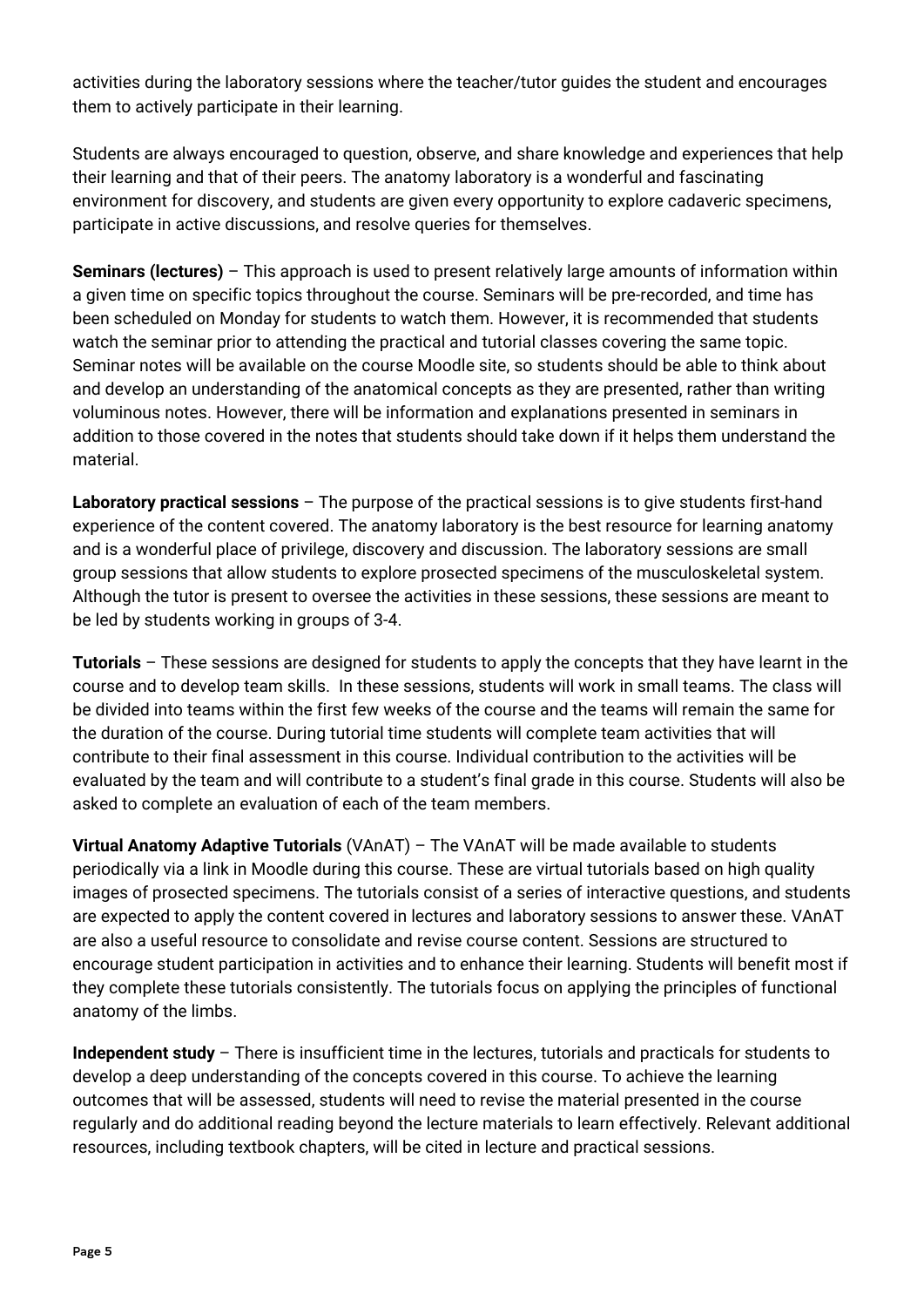activities during the laboratory sessions where the teacher/tutor guides the student and encourages them to actively participate in their learning.

Students are always encouraged to question, observe, and share knowledge and experiences that help their learning and that of their peers. The anatomy laboratory is a wonderful and fascinating environment for discovery, and students are given every opportunity to explore cadaveric specimens, participate in active discussions, and resolve queries for themselves.

**Seminars (lectures)** – This approach is used to present relatively large amounts of information within a given time on specific topics throughout the course. Seminars will be pre-recorded, and time has been scheduled on Monday for students to watch them. However, it is recommended that students watch the seminar prior to attending the practical and tutorial classes covering the same topic. Seminar notes will be available on the course Moodle site, so students should be able to think about and develop an understanding of the anatomical concepts as they are presented, rather than writing voluminous notes. However, there will be information and explanations presented in seminars in addition to those covered in the notes that students should take down if it helps them understand the material.

**Laboratory practical sessions** – The purpose of the practical sessions is to give students first-hand experience of the content covered. The anatomy laboratory is the best resource for learning anatomy and is a wonderful place of privilege, discovery and discussion. The laboratory sessions are small group sessions that allow students to explore prosected specimens of the musculoskeletal system. Although the tutor is present to oversee the activities in these sessions, these sessions are meant to be led by students working in groups of 3-4.

**Tutorials** – These sessions are designed for students to apply the concepts that they have learnt in the course and to develop team skills. In these sessions, students will work in small teams. The class will be divided into teams within the first few weeks of the course and the teams will remain the same for the duration of the course. During tutorial time students will complete team activities that will contribute to their final assessment in this course. Individual contribution to the activities will be evaluated by the team and will contribute to a student's final grade in this course. Students will also be asked to complete an evaluation of each of the team members.

**Virtual Anatomy Adaptive Tutorials** (VAnAT) – The VAnAT will be made available to students periodically via a link in Moodle during this course. These are virtual tutorials based on high quality images of prosected specimens. The tutorials consist of a series of interactive questions, and students are expected to apply the content covered in lectures and laboratory sessions to answer these. VAnAT are also a useful resource to consolidate and revise course content. Sessions are structured to encourage student participation in activities and to enhance their learning. Students will benefit most if they complete these tutorials consistently. The tutorials focus on applying the principles of functional anatomy of the limbs.

**Independent study** – There is insufficient time in the lectures, tutorials and practicals for students to develop a deep understanding of the concepts covered in this course. To achieve the learning outcomes that will be assessed, students will need to revise the material presented in the course regularly and do additional reading beyond the lecture materials to learn effectively. Relevant additional resources, including textbook chapters, will be cited in lecture and practical sessions.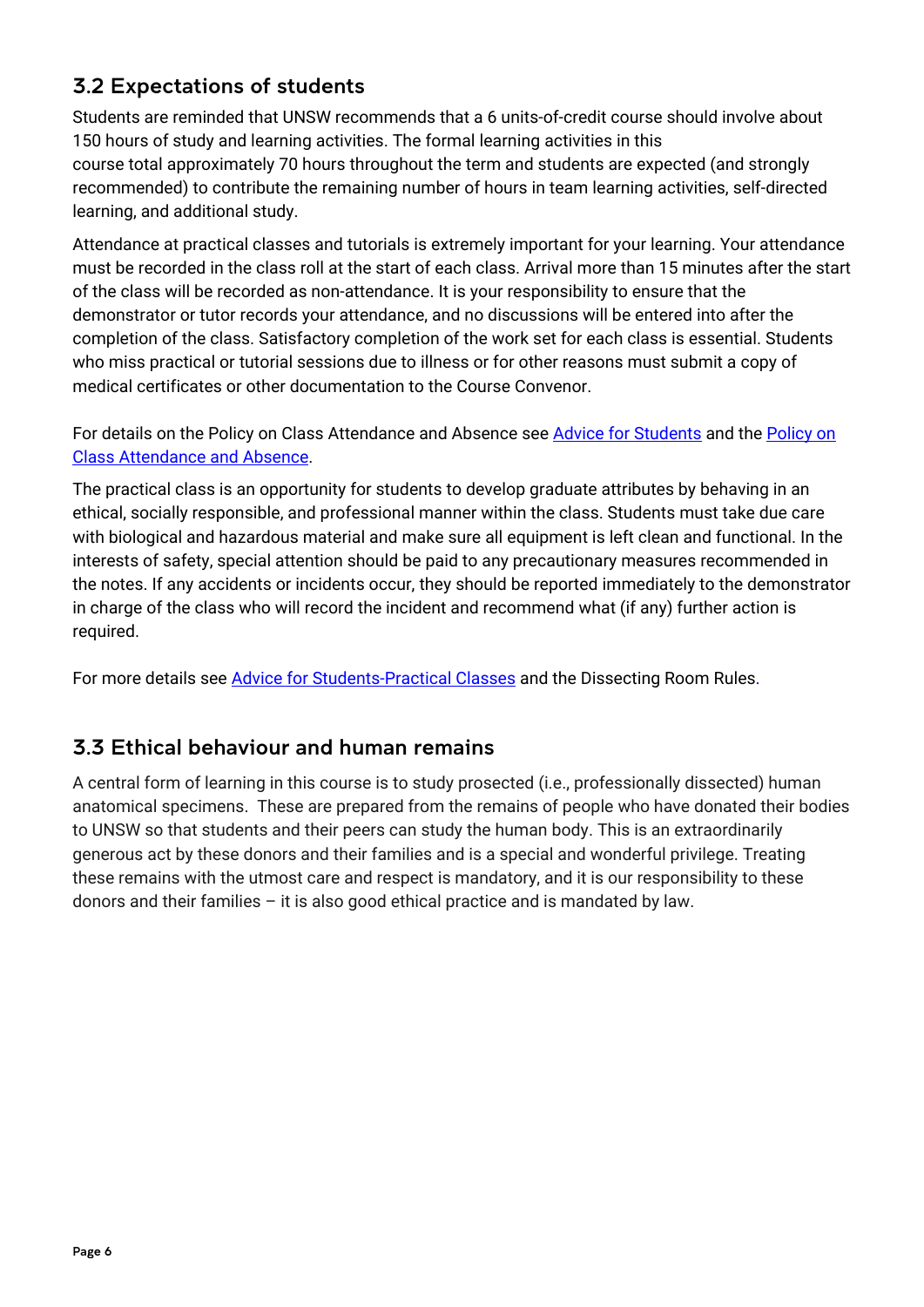# <span id="page-5-0"></span>3.2 Expectations of students

Students are reminded that UNSW recommends that a 6 units-of-credit course should involve about 150 hours of study and learning activities. The formal learning activities in this course total approximately 70 hours throughout the term and students are expected (and strongly recommended) to contribute the remaining number of hours in team learning activities, self-directed learning, and additional study.

Attendance at practical classes and tutorials is extremely important for your learning. Your attendance must be recorded in the class roll at the start of each class. Arrival more than 15 minutes after the start of the class will be recorded as non-attendance. It is your responsibility to ensure that the demonstrator or tutor records your attendance, and no discussions will be entered into after the completion of the class. Satisfactory completion of the work set for each class is essential. Students who miss practical or tutorial sessions due to illness or for other reasons must submit a copy of medical certificates or other documentation to the Course Convenor.

For details on the Policy on Class Attendance and Absence see [Advice for Students](http://medicalsciences.med.unsw.edu.au/students/undergraduate/advice-students#Attendance) and the [Policy on](https://student.unsw.edu.au/attendance)  [Class Attendance and Absence.](https://student.unsw.edu.au/attendance)

The practical class is an opportunity for students to develop graduate attributes by behaving in an ethical, socially responsible, and professional manner within the class. Students must take due care with biological and hazardous material and make sure all equipment is left clean and functional. In the interests of safety, special attention should be paid to any precautionary measures recommended in the notes. If any accidents or incidents occur, they should be reported immediately to the demonstrator in charge of the class who will record the incident and recommend what (if any) further action is required.

For more details see [Advice for Students-Practical Classes](http://medicalsciences.med.unsw.edu.au/students/undergraduate/advice-students#Practicals) and the Dissecting Room Rules.

### <span id="page-5-1"></span>3.3 Ethical behaviour and human remains

A central form of learning in this course is to study prosected (i.e., professionally dissected) human anatomical specimens. These are prepared from the remains of people who have donated their bodies to UNSW so that students and their peers can study the human body. This is an extraordinarily generous act by these donors and their families and is a special and wonderful privilege. Treating these remains with the utmost care and respect is mandatory, and it is our responsibility to these donors and their families – it is also good ethical practice and is mandated by law.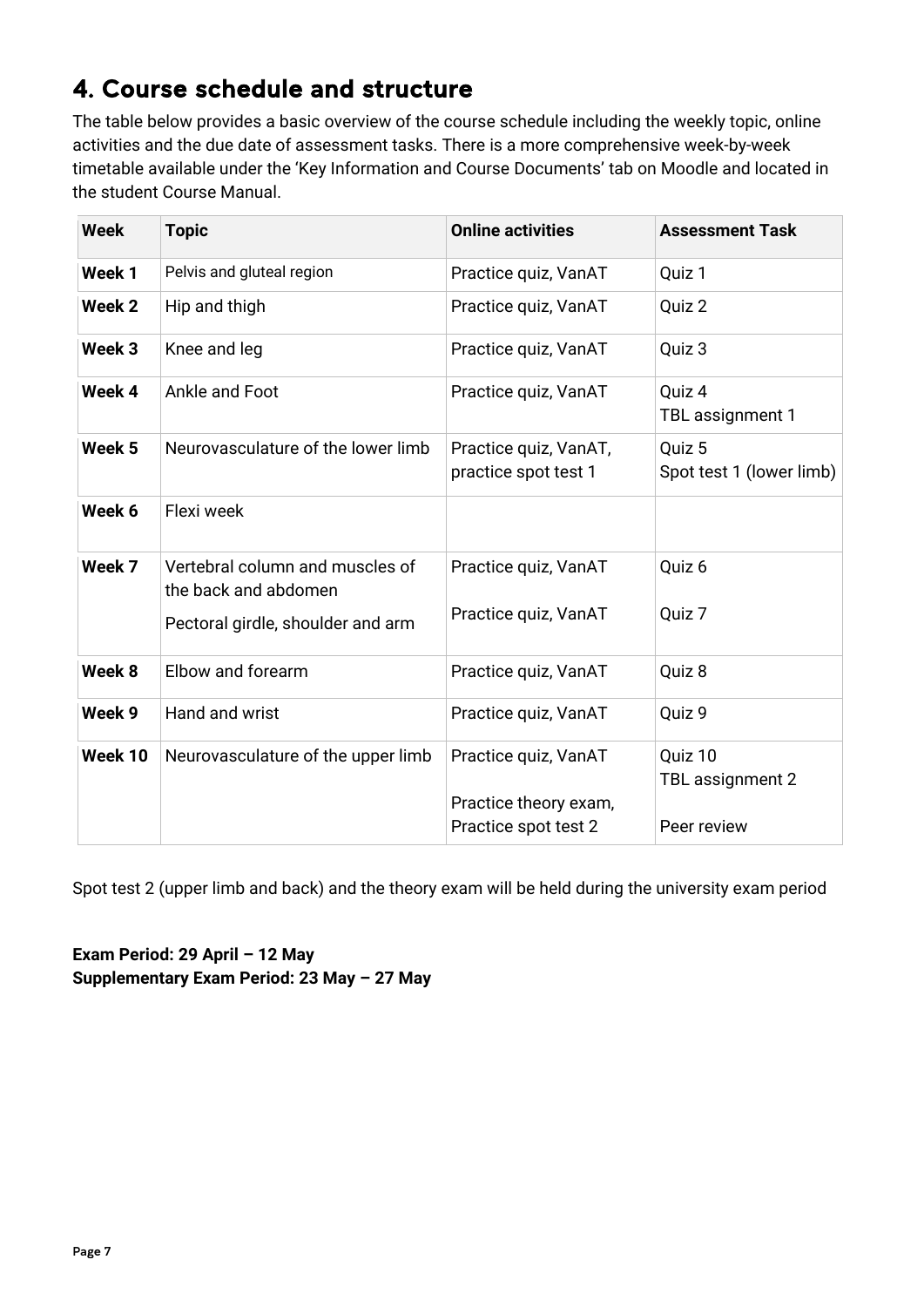# <span id="page-6-0"></span>4. Course schedule and structure

The table below provides a basic overview of the course schedule including the weekly topic, online activities and the due date of assessment tasks. There is a more comprehensive week-by-week timetable available under the 'Key Information and Course Documents' tab on Moodle and located in the student Course Manual.

| <b>Week</b><br><b>Topic</b> |                                                         | <b>Online activities</b>                      | <b>Assessment Task</b>             |
|-----------------------------|---------------------------------------------------------|-----------------------------------------------|------------------------------------|
| Week 1                      | Pelvis and gluteal region                               | Practice quiz, VanAT                          | Quiz 1                             |
| Week 2                      | Hip and thigh                                           | Practice quiz, VanAT                          | Quiz 2                             |
| Week 3                      | Knee and leg                                            | Practice quiz, VanAT                          | Quiz 3                             |
| Week 4                      | Ankle and Foot                                          | Practice quiz, VanAT                          | Quiz 4<br>TBL assignment 1         |
| Week 5                      | Neurovasculature of the lower limb                      | Practice quiz, VanAT,<br>practice spot test 1 | Quiz 5<br>Spot test 1 (lower limb) |
| Week 6                      | Flexi week                                              |                                               |                                    |
| Week 7                      | Vertebral column and muscles of<br>the back and abdomen | Practice quiz, VanAT                          | Quiz 6                             |
|                             | Pectoral girdle, shoulder and arm                       | Practice quiz, VanAT                          | Quiz 7                             |
| Week 8                      | Elbow and forearm                                       | Practice quiz, VanAT                          | Quiz 8                             |
| Week 9                      | Hand and wrist                                          | Practice quiz, VanAT                          | Quiz 9                             |
| Week 10                     | Neurovasculature of the upper limb                      | Practice quiz, VanAT<br>Practice theory exam, | Quiz 10<br>TBL assignment 2        |
|                             |                                                         | Practice spot test 2                          | Peer review                        |

Spot test 2 (upper limb and back) and the theory exam will be held during the university exam period

**Exam Period: 29 April – 12 May Supplementary Exam Period: 23 May – 27 May**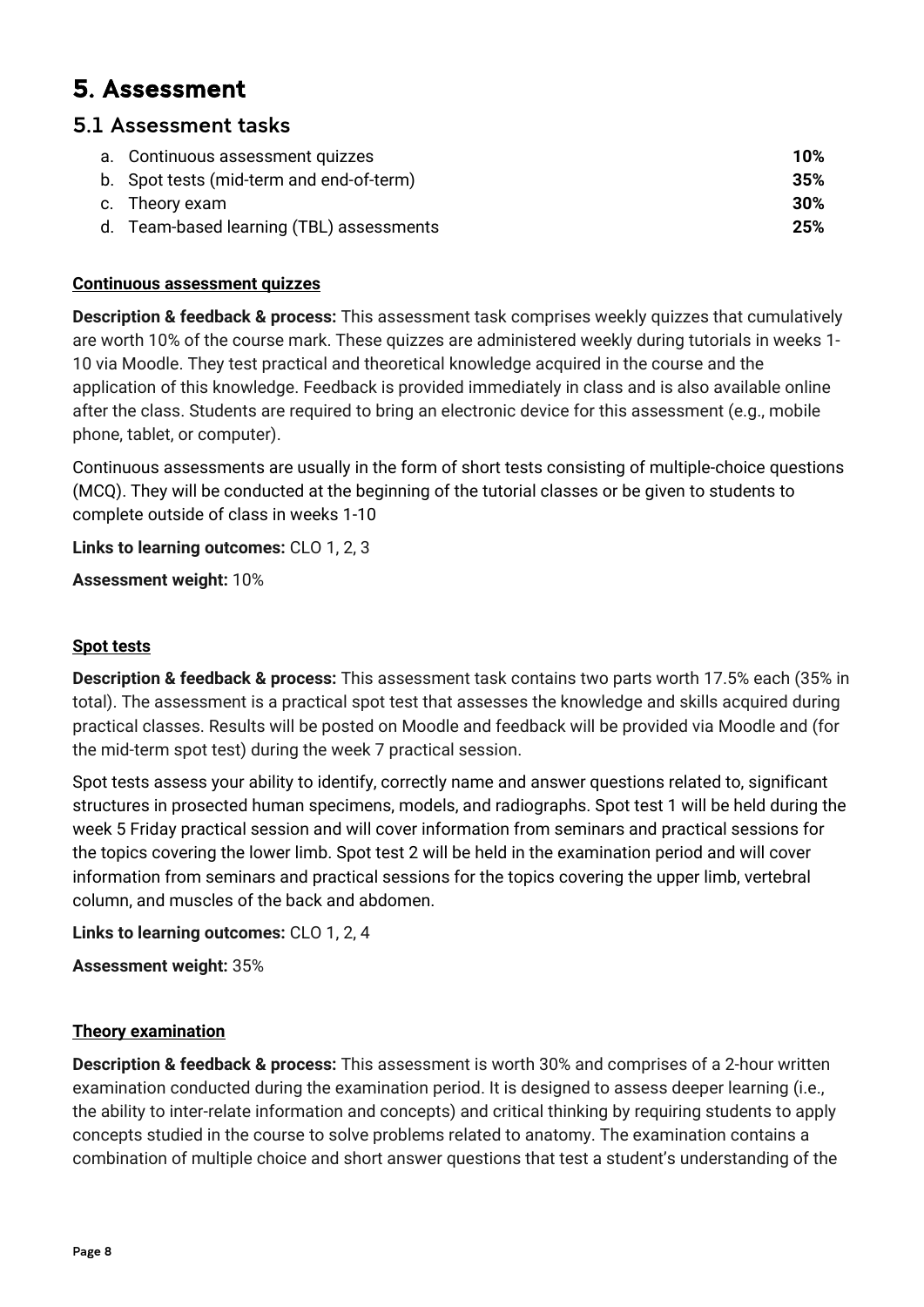# <span id="page-7-0"></span>5. Assessment

### <span id="page-7-1"></span>5.1 Assessment tasks

| a. Continuous assessment quizzes         | 10% |
|------------------------------------------|-----|
| b. Spot tests (mid-term and end-of-term) | 35% |
| c. Theory exam                           | 30% |
| d. Team-based learning (TBL) assessments | 25% |
|                                          |     |

### **Continuous assessment quizzes**

**Description & feedback & process:** This assessment task comprises weekly quizzes that cumulatively are worth 10% of the course mark. These quizzes are administered weekly during tutorials in weeks 1- 10 via Moodle. They test practical and theoretical knowledge acquired in the course and the application of this knowledge. Feedback is provided immediately in class and is also available online after the class. Students are required to bring an electronic device for this assessment (e.g., mobile phone, tablet, or computer).

Continuous assessments are usually in the form of short tests consisting of multiple-choice questions (MCQ). They will be conducted at the beginning of the tutorial classes or be given to students to complete outside of class in weeks 1-10

**Links to learning outcomes:** CLO 1, 2, 3

**Assessment weight:** 10%

### **Spot tests**

**Description & feedback & process:** This assessment task contains two parts worth 17.5% each (35% in total). The assessment is a practical spot test that assesses the knowledge and skills acquired during practical classes. Results will be posted on Moodle and feedback will be provided via Moodle and (for the mid-term spot test) during the week 7 practical session.

Spot tests assess your ability to identify, correctly name and answer questions related to, significant structures in prosected human specimens, models, and radiographs. Spot test 1 will be held during the week 5 Friday practical session and will cover information from seminars and practical sessions for the topics covering the lower limb. Spot test 2 will be held in the examination period and will cover information from seminars and practical sessions for the topics covering the upper limb, vertebral column, and muscles of the back and abdomen.

**Links to learning outcomes:** CLO 1, 2, 4

**Assessment weight:** 35%

### **Theory examination**

**Description & feedback & process:** This assessment is worth 30% and comprises of a 2-hour written examination conducted during the examination period. It is designed to assess deeper learning (i.e., the ability to inter-relate information and concepts) and critical thinking by requiring students to apply concepts studied in the course to solve problems related to anatomy. The examination contains a combination of multiple choice and short answer questions that test a student's understanding of the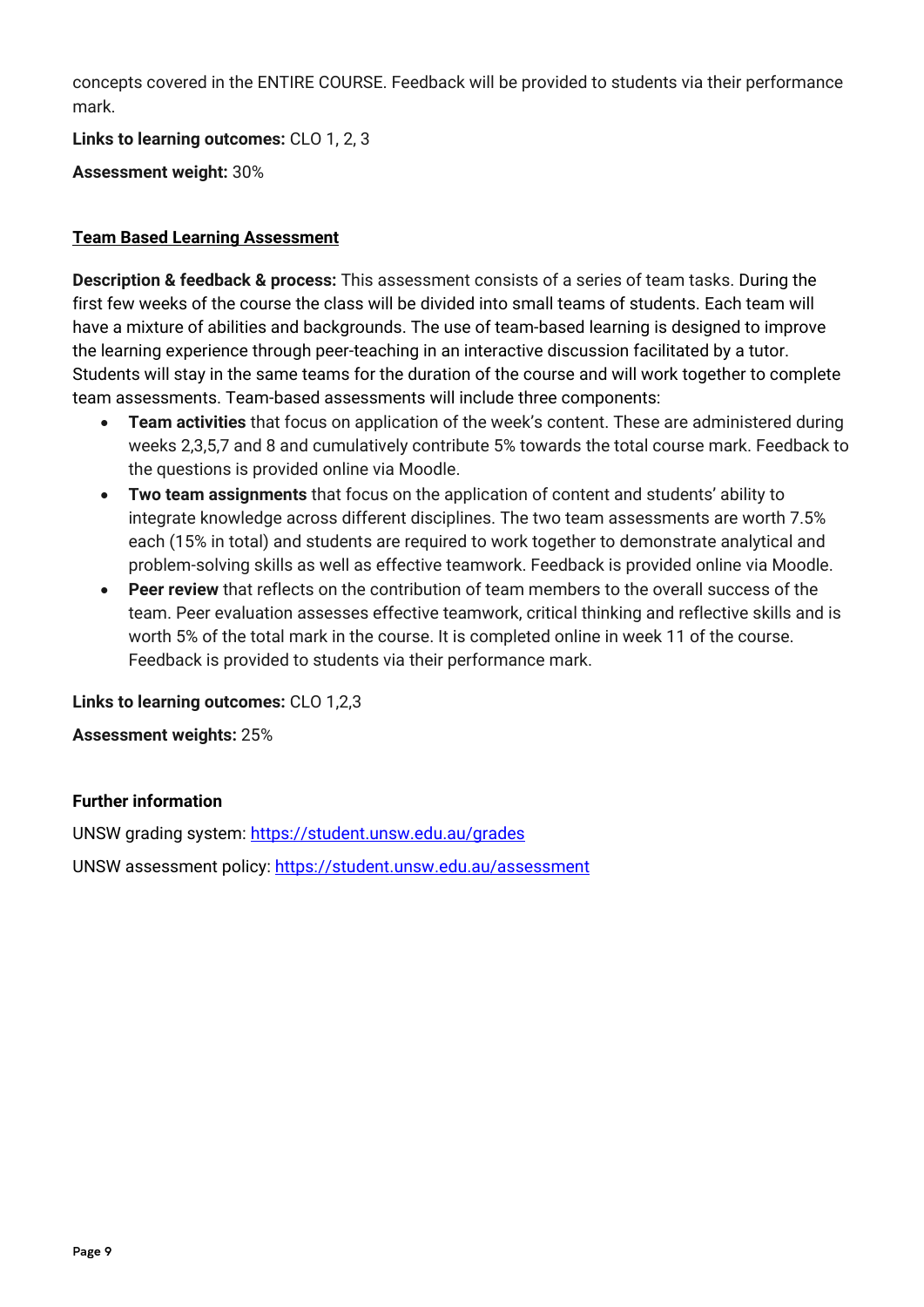concepts covered in the ENTIRE COURSE. Feedback will be provided to students via their performance mark.

**Links to learning outcomes:** CLO 1, 2, 3

**Assessment weight:** 30%

### **Team Based Learning Assessment**

**Description & feedback & process:** This assessment consists of a series of team tasks. During the first few weeks of the course the class will be divided into small teams of students. Each team will have a mixture of abilities and backgrounds. The use of team-based learning is designed to improve the learning experience through peer-teaching in an interactive discussion facilitated by a tutor. Students will stay in the same teams for the duration of the course and will work together to complete team assessments. Team-based assessments will include three components:

- **Team activities** that focus on application of the week's content. These are administered during weeks 2,3,5,7 and 8 and cumulatively contribute 5% towards the total course mark. Feedback to the questions is provided online via Moodle.
- **Two team assignments** that focus on the application of content and students' ability to integrate knowledge across different disciplines. The two team assessments are worth 7.5% each (15% in total) and students are required to work together to demonstrate analytical and problem-solving skills as well as effective teamwork. Feedback is provided online via Moodle.
- **Peer review** that reflects on the contribution of team members to the overall success of the team. Peer evaluation assesses effective teamwork, critical thinking and reflective skills and is worth 5% of the total mark in the course. It is completed online in week 11 of the course. Feedback is provided to students via their performance mark.

**Links to learning outcomes:** CLO 1,2,3

**Assessment weights:** 25%

### **Further information**

UNSW grading system:<https://student.unsw.edu.au/grades> UNSW assessment policy:<https://student.unsw.edu.au/assessment>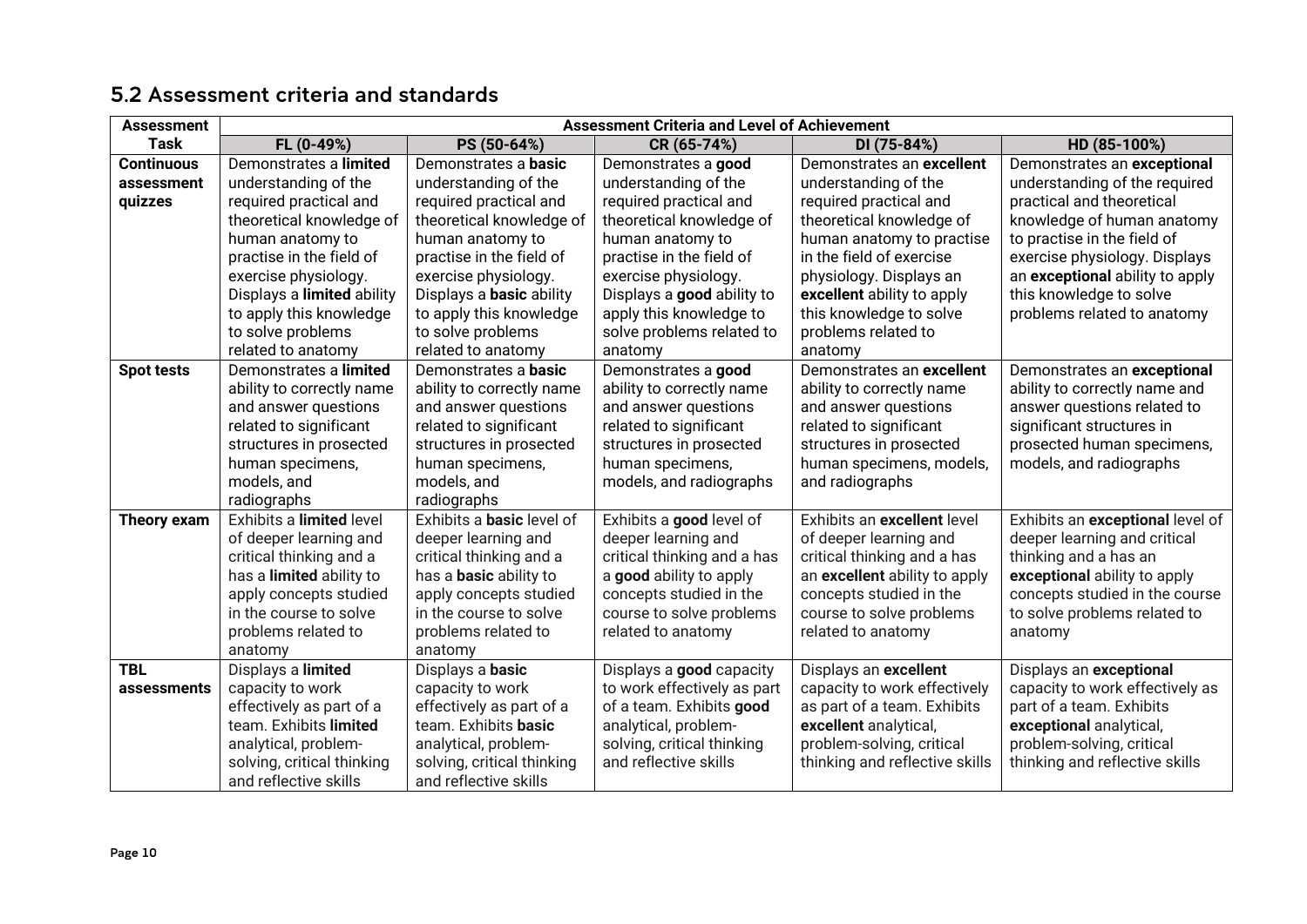<span id="page-9-0"></span>

| <b>Assessment</b> | <b>Assessment Criteria and Level of Achievement</b> |                                  |                             |                                |                                  |
|-------------------|-----------------------------------------------------|----------------------------------|-----------------------------|--------------------------------|----------------------------------|
| <b>Task</b>       | FL (0-49%)                                          | PS (50-64%)                      | CR (65-74%)                 | DI (75-84%)                    | HD (85-100%)                     |
| <b>Continuous</b> | Demonstrates a limited                              | Demonstrates a <b>basic</b>      | Demonstrates a good         | Demonstrates an excellent      | Demonstrates an exceptional      |
| assessment        | understanding of the                                | understanding of the             | understanding of the        | understanding of the           | understanding of the required    |
| quizzes           | required practical and                              | required practical and           | required practical and      | required practical and         | practical and theoretical        |
|                   | theoretical knowledge of                            | theoretical knowledge of         | theoretical knowledge of    | theoretical knowledge of       | knowledge of human anatomy       |
|                   | human anatomy to                                    | human anatomy to                 | human anatomy to            | human anatomy to practise      | to practise in the field of      |
|                   | practise in the field of                            | practise in the field of         | practise in the field of    | in the field of exercise       | exercise physiology. Displays    |
|                   | exercise physiology.                                | exercise physiology.             | exercise physiology.        | physiology. Displays an        | an exceptional ability to apply  |
|                   | Displays a limited ability                          | Displays a <b>basic</b> ability  | Displays a good ability to  | excellent ability to apply     | this knowledge to solve          |
|                   | to apply this knowledge                             | to apply this knowledge          | apply this knowledge to     | this knowledge to solve        | problems related to anatomy      |
|                   | to solve problems                                   | to solve problems                | solve problems related to   | problems related to            |                                  |
|                   | related to anatomy                                  | related to anatomy               | anatomy                     | anatomy                        |                                  |
| <b>Spot tests</b> | Demonstrates a limited                              | Demonstrates a basic             | Demonstrates a good         | Demonstrates an excellent      | Demonstrates an exceptional      |
|                   | ability to correctly name                           | ability to correctly name        | ability to correctly name   | ability to correctly name      | ability to correctly name and    |
|                   | and answer questions                                | and answer questions             | and answer questions        | and answer questions           | answer questions related to      |
|                   | related to significant                              | related to significant           | related to significant      | related to significant         | significant structures in        |
|                   | structures in prosected                             | structures in prosected          | structures in prosected     | structures in prosected        | prosected human specimens,       |
|                   | human specimens,                                    | human specimens,                 | human specimens,            | human specimens, models,       | models, and radiographs          |
|                   | models, and                                         | models, and                      | models, and radiographs     | and radiographs                |                                  |
|                   | radiographs                                         | radiographs                      |                             |                                |                                  |
| Theory exam       | Exhibits a limited level                            | Exhibits a <b>basic</b> level of | Exhibits a good level of    | Exhibits an excellent level    | Exhibits an exceptional level of |
|                   | of deeper learning and                              | deeper learning and              | deeper learning and         | of deeper learning and         | deeper learning and critical     |
|                   | critical thinking and a                             | critical thinking and a          | critical thinking and a has | critical thinking and a has    | thinking and a has an            |
|                   | has a limited ability to                            | has a <b>basic</b> ability to    | a good ability to apply     | an excellent ability to apply  | exceptional ability to apply     |
|                   | apply concepts studied                              | apply concepts studied           | concepts studied in the     | concepts studied in the        | concepts studied in the course   |
|                   | in the course to solve                              | in the course to solve           | course to solve problems    | course to solve problems       | to solve problems related to     |
|                   | problems related to                                 | problems related to              | related to anatomy          | related to anatomy             | anatomy                          |
|                   | anatomy                                             | anatomy                          |                             |                                |                                  |
| <b>TBL</b>        | Displays a limited                                  | Displays a basic                 | Displays a good capacity    | Displays an excellent          | Displays an exceptional          |
| assessments       | capacity to work                                    | capacity to work                 | to work effectively as part | capacity to work effectively   | capacity to work effectively as  |
|                   | effectively as part of a                            | effectively as part of a         | of a team. Exhibits good    | as part of a team. Exhibits    | part of a team. Exhibits         |
|                   | team. Exhibits limited                              | team. Exhibits basic             | analytical, problem-        | excellent analytical,          | exceptional analytical,          |
|                   | analytical, problem-                                | analytical, problem-             | solving, critical thinking  | problem-solving, critical      | problem-solving, critical        |
|                   | solving, critical thinking                          | solving, critical thinking       | and reflective skills       | thinking and reflective skills | thinking and reflective skills   |
|                   | and reflective skills                               | and reflective skills            |                             |                                |                                  |

## 5.2 Assessment criteria and standards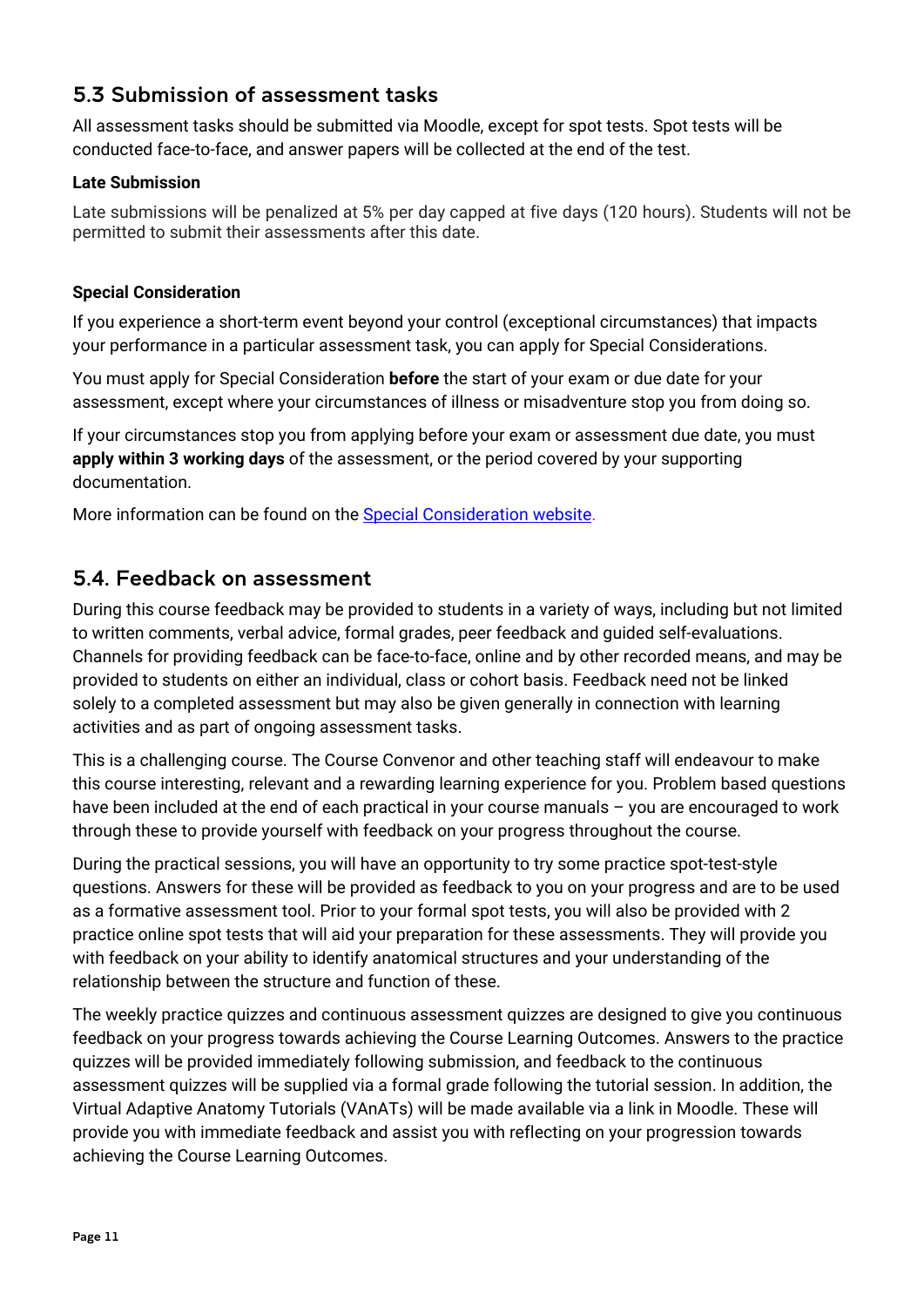### <span id="page-10-0"></span>5.3 Submission of assessment tasks

All assessment tasks should be submitted via Moodle, except for spot tests. Spot tests will be conducted face-to-face, and answer papers will be collected at the end of the test.

### **Late Submission**

Late submissions will be penalized at 5% per day capped at five days (120 hours). Students will not be permitted to submit their assessments after this date.

### **Special Consideration**

If you experience a short-term event beyond your control (exceptional circumstances) that impacts your performance in a particular assessment task, you can apply for Special Considerations.

You must apply for Special Consideration **before** the start of your exam or due date for your assessment, except where your circumstances of illness or misadventure stop you from doing so.

If your circumstances stop you from applying before your exam or assessment due date, you must **apply within 3 working days** of the assessment, or the period covered by your supporting documentation.

More information can be found on the [Special Consideration website.](https://www.student.unsw.edu.au/special-consideration)

### <span id="page-10-1"></span>5.4. Feedback on assessment

During this course feedback may be provided to students in a variety of ways, including but not limited to written comments, verbal advice, formal grades, peer feedback and guided self-evaluations. Channels for providing feedback can be face-to-face, online and by other recorded means, and may be provided to students on either an individual, class or cohort basis. Feedback need not be linked solely to a completed assessment but may also be given generally in connection with learning activities and as part of ongoing assessment tasks.

This is a challenging course. The Course Convenor and other teaching staff will endeavour to make this course interesting, relevant and a rewarding learning experience for you. Problem based questions have been included at the end of each practical in your course manuals - you are encouraged to work through these to provide yourself with feedback on your progress throughout the course.

During the practical sessions, you will have an opportunity to try some practice spot-test-style questions. Answers for these will be provided as feedback to you on your progress and are to be used as a formative assessment tool. Prior to your formal spot tests, you will also be provided with 2 practice online spot tests that will aid your preparation for these assessments. They will provide you with feedback on your ability to identify anatomical structures and your understanding of the relationship between the structure and function of these.

The weekly practice quizzes and continuous assessment quizzes are designed to give you continuous feedback on your progress towards achieving the Course Learning Outcomes. Answers to the practice quizzes will be provided immediately following submission, and feedback to the continuous assessment quizzes will be supplied via a formal grade following the tutorial session. In addition, the Virtual Adaptive Anatomy Tutorials (VAnATs) will be made available via a link in Moodle. These will provide you with immediate feedback and assist you with reflecting on your progression towards achieving the Course Learning Outcomes.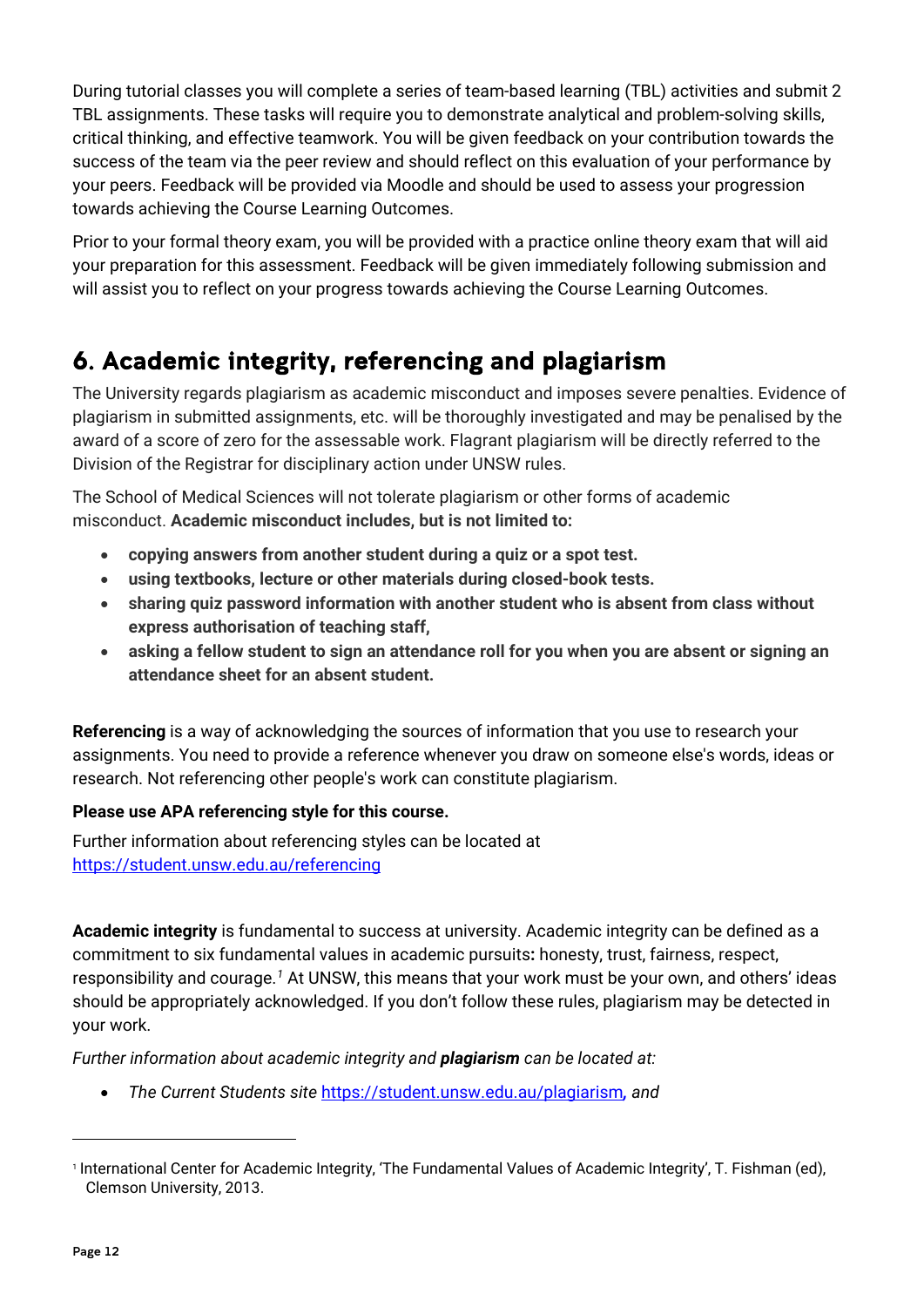During tutorial classes you will complete a series of team-based learning (TBL) activities and submit 2 TBL assignments. These tasks will require you to demonstrate analytical and problem-solving skills, critical thinking, and effective teamwork. You will be given feedback on your contribution towards the success of the team via the peer review and should reflect on this evaluation of your performance by your peers. Feedback will be provided via Moodle and should be used to assess your progression towards achieving the Course Learning Outcomes.

Prior to your formal theory exam, you will be provided with a practice online theory exam that will aid your preparation for this assessment. Feedback will be given immediately following submission and will assist you to reflect on your progress towards achieving the Course Learning Outcomes.

# <span id="page-11-0"></span>6. Academic integrity, referencing and plagiarism

The University regards plagiarism as academic misconduct and imposes severe penalties. Evidence of plagiarism in submitted assignments, etc. will be thoroughly investigated and may be penalised by the award of a score of zero for the assessable work. Flagrant plagiarism will be directly referred to the Division of the Registrar for disciplinary action under UNSW rules.

The School of Medical Sciences will not tolerate plagiarism or other forms of academic misconduct. **Academic misconduct includes, but is not limited to:**

- **copying answers from another student during a quiz or a spot test.**
- **using textbooks, lecture or other materials during closed-book tests.**
- **sharing quiz password information with another student who is absent from class without express authorisation of teaching staff,**
- **asking a fellow student to sign an attendance roll for you when you are absent or signing an attendance sheet for an absent student.**

**Referencing** is a way of acknowledging the sources of information that you use to research your assignments. You need to provide a reference whenever you draw on someone else's words, ideas or research. Not referencing other people's work can constitute plagiarism.

### **Please use APA referencing style for this course.**

Further information about referencing styles can be located at <https://student.unsw.edu.au/referencing>

**Academic integrity** is fundamental to success at university. Academic integrity can be defined as a commitment to six fundamental values in academic pursuits**:** honesty, trust, fairness, respect, responsibility and courage.*[1](#page-11-1)* At UNSW, this means that your work must be your own, and others' ideas should be appropriately acknowledged. If you don't follow these rules, plagiarism may be detected in your work.

*Further information about academic integrity and plagiarism can be located at:*

• *The Current Students site* <https://student.unsw.edu.au/plagiarism>*, and* 

<span id="page-11-1"></span><sup>1</sup> International Center for Academic Integrity, 'The Fundamental Values of Academic Integrity', T. Fishman (ed), Clemson University, 2013.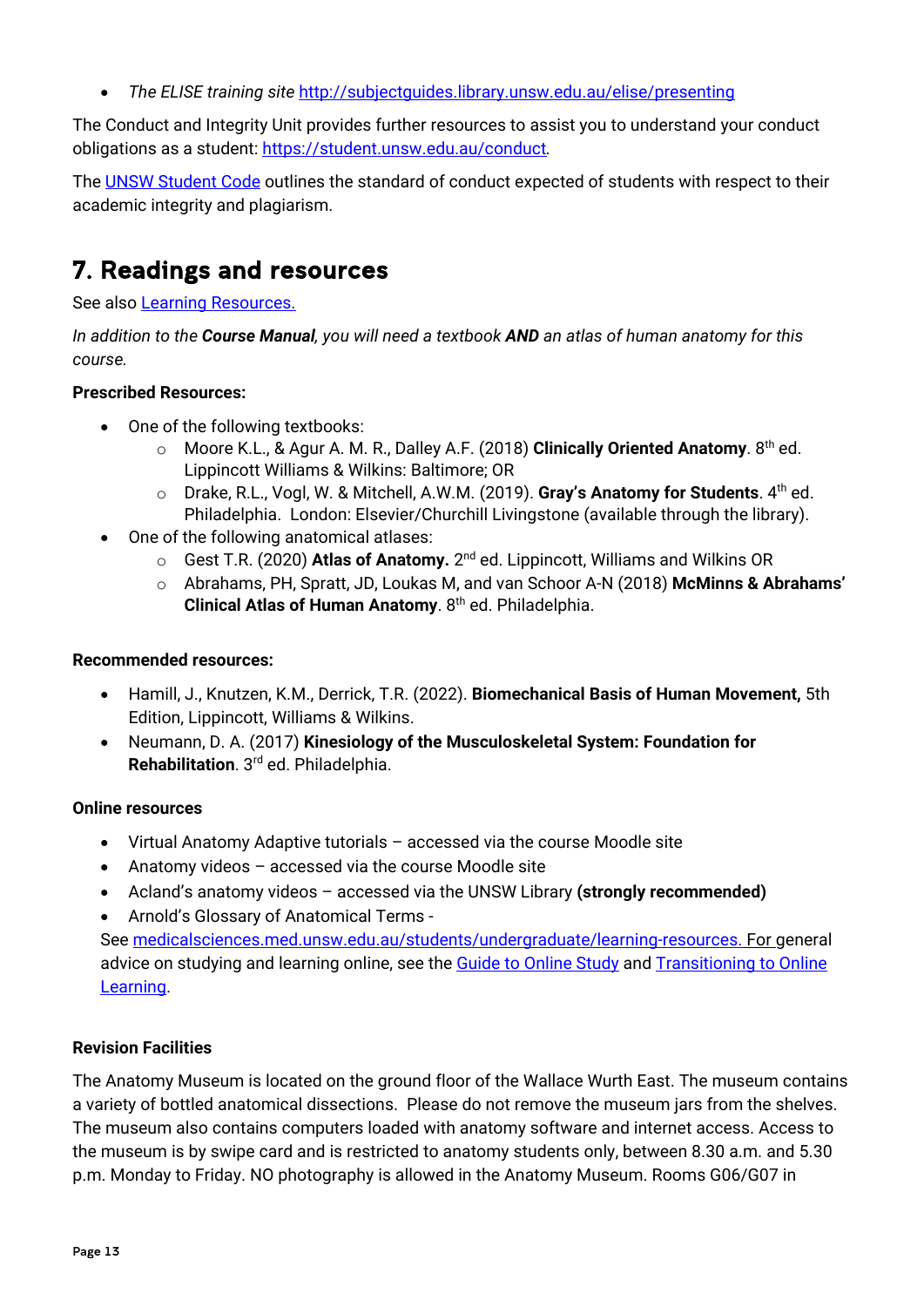• *The ELISE training site* <http://subjectguides.library.unsw.edu.au/elise/presenting>

The Conduct and Integrity Unit provides further resources to assist you to understand your conduct obligations as a student:<https://student.unsw.edu.au/conduct>*.*

The [UNSW Student Code](https://www.gs.unsw.edu.au/policy/documents/studentcodepolicy.pdf) outlines the standard of conduct expected of students with respect to their academic integrity and plagiarism.

# <span id="page-12-0"></span>7. Readings and resources

See also [Learning Resources.](http://medicalsciences.med.unsw.edu.au/students/undergraduate/learning-resources)

*In addition to the Course Manual, you will need a textbook AND an atlas of human anatomy for this course.*

### **Prescribed Resources:**

- One of the following textbooks:
	- o Moore K.L., & Agur A. M. R., Dalley A.F. (2018) **Clinically Oriented Anatomy**. 8th ed. Lippincott Williams & Wilkins: Baltimore; OR
	- o Drake, R.L., Vogl, W. & Mitchell, A.W.M. (2019). **Gray's Anatomy for Students**. 4th ed. Philadelphia. London: Elsevier/Churchill Livingstone (available through the library).
- One of the following anatomical atlases:
	- o Gest T.R. (2020) **Atlas of Anatomy.** 2nd ed. Lippincott, Williams and Wilkins OR
	- o Abrahams, PH, Spratt, JD, Loukas M, and van Schoor A-N (2018) **McMinns & Abrahams' Clinical Atlas of Human Anatomy.** 8<sup>th</sup> ed. Philadelphia.

### **Recommended resources:**

- Hamill, J., Knutzen, K.M., Derrick, T.R. (2022). **Biomechanical Basis of Human Movement,** 5th Edition, Lippincott, Williams & Wilkins.
- Neumann, D. A. (2017) **Kinesiology of the Musculoskeletal System: Foundation for Rehabilitation**. 3rd ed. Philadelphia.

### **Online resources**

- Virtual Anatomy Adaptive tutorials accessed via the course Moodle site
- Anatomy videos accessed via the course Moodle site
- Acland's anatomy videos accessed via the UNSW Library **(strongly recommended)**
- Arnold's Glossary of Anatomical Terms -

See [medicalsciences.med.unsw.edu.au/students/undergraduate/learning-resources.](https://medicalsciences.med.unsw.edu.au/students/undergraduate/learning-resources) For general advice on studying and learning online, see the [Guide to Online Study](https://student.unsw.edu.au/online-study) and Transitioning to Online [Learning.](https://www.covid19studyonline.unsw.edu.au/)

### **Revision Facilities**

The Anatomy Museum is located on the ground floor of the Wallace Wurth East. The museum contains a variety of bottled anatomical dissections. Please do not remove the museum jars from the shelves. The museum also contains computers loaded with anatomy software and internet access. Access to the museum is by swipe card and is restricted to anatomy students only, between 8.30 a.m. and 5.30 p.m. Monday to Friday. NO photography is allowed in the Anatomy Museum. Rooms G06/G07 in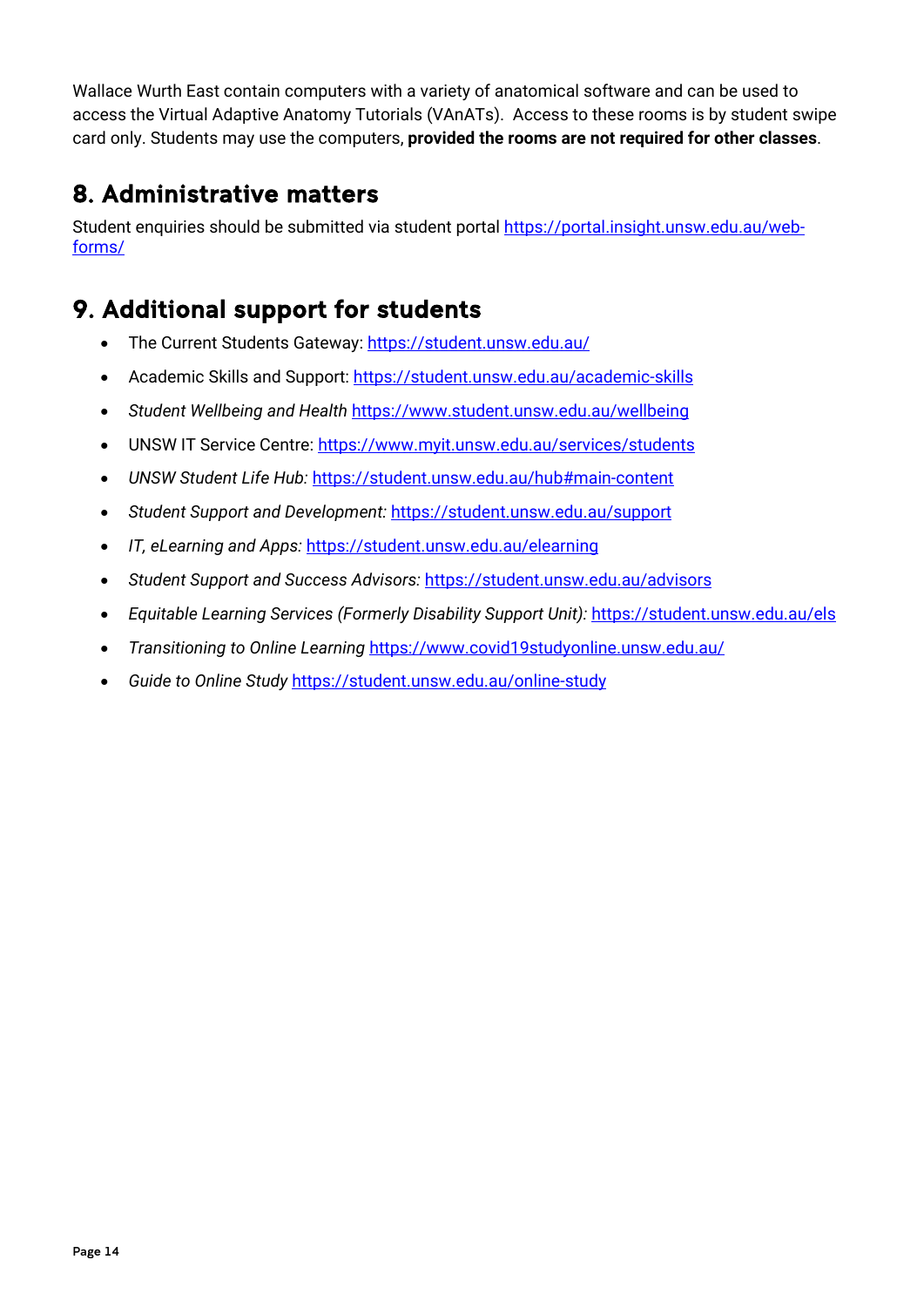Wallace Wurth East contain computers with a variety of anatomical software and can be used to access the Virtual Adaptive Anatomy Tutorials (VAnATs). Access to these rooms is by student swipe card only. Students may use the computers, **provided the rooms are not required for other classes**.

# <span id="page-13-0"></span>8. Administrative matters

Student enquiries should be submitted via student portal [https://portal.insight.unsw.edu.au/web](https://portal.insight.unsw.edu.au/web-forms/)[forms/](https://portal.insight.unsw.edu.au/web-forms/)

# <span id="page-13-1"></span>9. Additional support for students

- The Current Students Gateway:<https://student.unsw.edu.au/>
- Academic Skills and Support:<https://student.unsw.edu.au/academic-skills>
- *Student Wellbeing and Health* <https://www.student.unsw.edu.au/wellbeing>
- UNSW IT Service Centre:<https://www.myit.unsw.edu.au/services/students>
- *UNSW Student Life Hub:* <https://student.unsw.edu.au/hub#main-content>
- *Student Support and Development:* <https://student.unsw.edu.au/support>
- *IT, eLearning and Apps:* <https://student.unsw.edu.au/elearning>
- *Student Support and Success Advisors:* <https://student.unsw.edu.au/advisors>
- *Equitable Learning Services (Formerly Disability Support Unit):* <https://student.unsw.edu.au/els>
- *Transitioning to Online Learning* <https://www.covid19studyonline.unsw.edu.au/>
- *Guide to Online Study* <https://student.unsw.edu.au/online-study>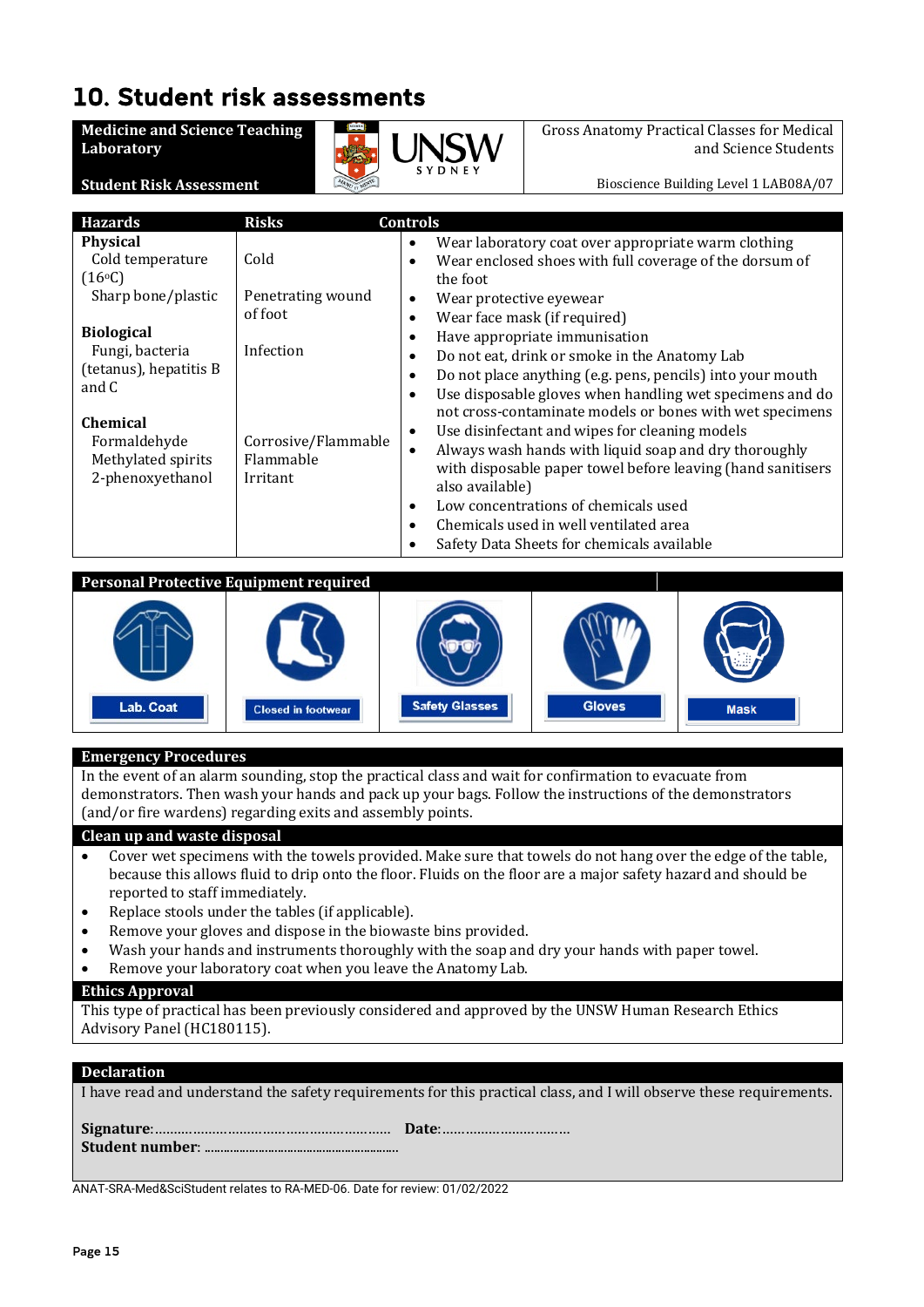# <span id="page-14-0"></span>10. Student risk assessments

**Medicine and Science Teaching Laboratory**

**Student Risk Assessment**



Gross Anatomy Practical Classes for Medical and Science Students

Bioscience Building Level 1 LAB08A/07

| <b>Hazards</b>                                                                                                                                       | <b>Risks</b>                                              | <b>Controls</b>                                                                                                                                                                                                                                                                                                                                                                                                                                                                                                                                                                                                                                                                        |
|------------------------------------------------------------------------------------------------------------------------------------------------------|-----------------------------------------------------------|----------------------------------------------------------------------------------------------------------------------------------------------------------------------------------------------------------------------------------------------------------------------------------------------------------------------------------------------------------------------------------------------------------------------------------------------------------------------------------------------------------------------------------------------------------------------------------------------------------------------------------------------------------------------------------------|
| <b>Physical</b><br>Cold temperature<br>(16°C)<br>Sharp bone/plastic                                                                                  | Cold<br>Penetrating wound<br>of foot                      | Wear laboratory coat over appropriate warm clothing<br>٠<br>Wear enclosed shoes with full coverage of the dorsum of<br>٠<br>the foot<br>Wear protective eyewear<br>٠<br>Wear face mask (if required)<br>$\bullet$                                                                                                                                                                                                                                                                                                                                                                                                                                                                      |
| <b>Biological</b><br>Fungi, bacteria<br>(tetanus), hepatitis B<br>and C<br><b>Chemical</b><br>Formaldehyde<br>Methylated spirits<br>2-phenoxyethanol | Infection<br>Corrosive/Flammable<br>Flammable<br>Irritant | Have appropriate immunisation<br>٠<br>Do not eat, drink or smoke in the Anatomy Lab<br>$\bullet$<br>Do not place anything (e.g. pens, pencils) into your mouth<br>$\bullet$<br>Use disposable gloves when handling wet specimens and do<br>$\bullet$<br>not cross-contaminate models or bones with wet specimens<br>Use disinfectant and wipes for cleaning models<br>٠<br>Always wash hands with liquid soap and dry thoroughly<br>$\bullet$<br>with disposable paper towel before leaving (hand sanitisers<br>also available)<br>Low concentrations of chemicals used<br>٠<br>Chemicals used in well ventilated area<br>$\bullet$<br>Safety Data Sheets for chemicals available<br>٠ |

**Personal Protective Equipment required**



### **Emergency Procedures**

In the event of an alarm sounding, stop the practical class and wait for confirmation to evacuate from demonstrators. Then wash your hands and pack up your bags. Follow the instructions of the demonstrators (and/or fire wardens) regarding exits and assembly points.

#### **Clean up and waste disposal**

- Cover wet specimens with the towels provided. Make sure that towels do not hang over the edge of the table, because this allows fluid to drip onto the floor. Fluids on the floor are a major safety hazard and should be reported to staff immediately.
- Replace stools under the tables (if applicable).
- Remove your gloves and dispose in the biowaste bins provided.
- Wash your hands and instruments thoroughly with the soap and dry your hands with paper towel.
- Remove your laboratory coat when you leave the Anatomy Lab.

#### **Ethics Approval**

This type of practical has been previously considered and approved by the UNSW Human Research Ethics Advisory Panel (HC180115).

#### **Declaration**

I have read and understand the safety requirements for this practical class, and I will observe these requirements.

**Signature**:…….……………………………………………… **Date**:…………………………… **Student number**: .............................................................

ANAT-SRA-Med&SciStudent relates to RA-MED-06. Date for review: 01/02/2022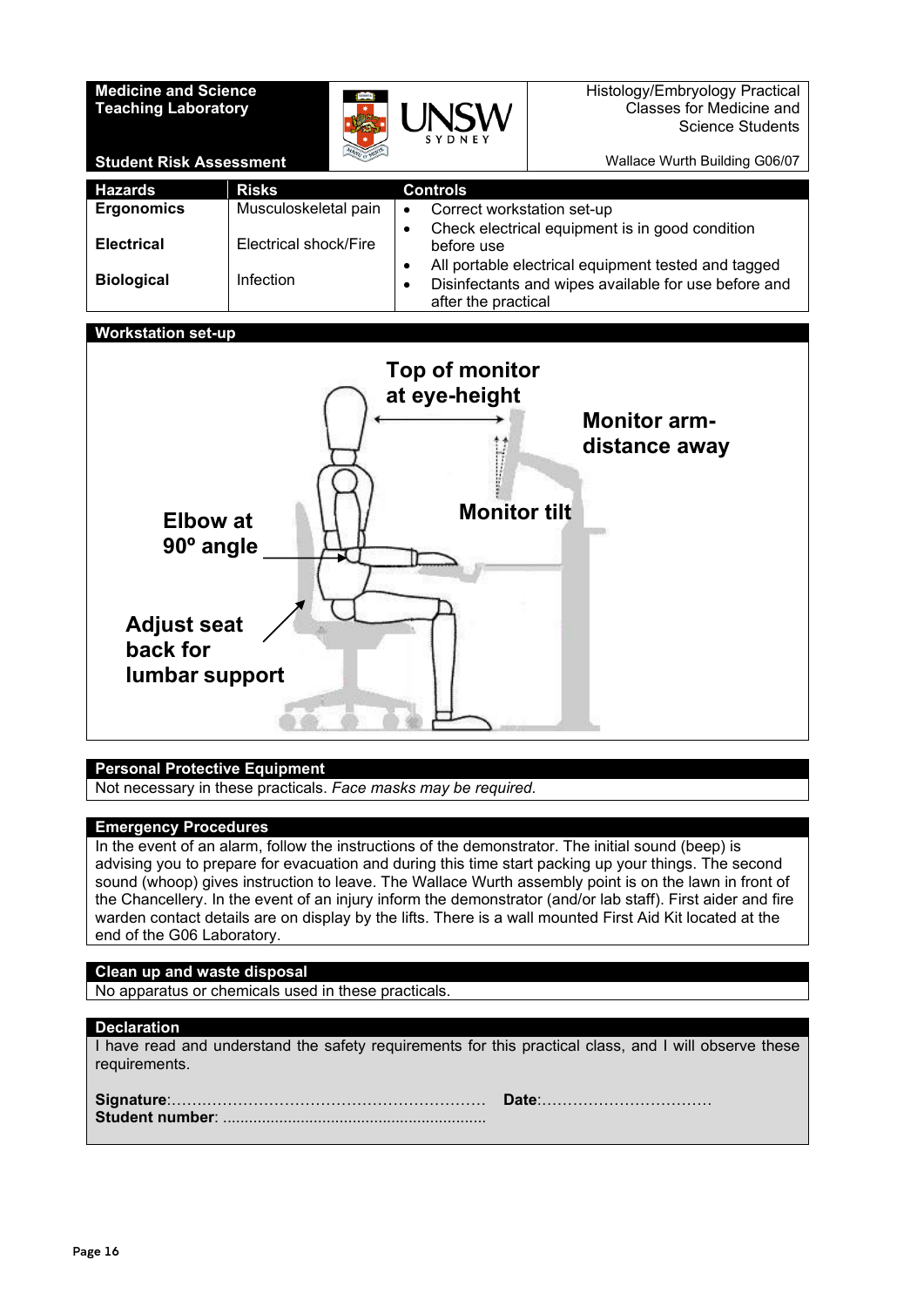### **Medicine and Science Teaching Laboratory**



Wallace Wurth Building G06/07

**Student Risk Assessment**

| <b>Hazards</b>                         | <b>Risks</b>                              | <b>Controls</b>                                                                                                                                                                                                  |  |  |  |  |
|----------------------------------------|-------------------------------------------|------------------------------------------------------------------------------------------------------------------------------------------------------------------------------------------------------------------|--|--|--|--|
| <b>Ergonomics</b>                      | Musculoskeletal pain                      | Correct workstation set-up<br>$\bullet$                                                                                                                                                                          |  |  |  |  |
| <b>Electrical</b><br><b>Biological</b> | Electrical shock/Fire<br><b>Infection</b> | Check electrical equipment is in good condition<br>$\bullet$<br>before use<br>All portable electrical equipment tested and tagged<br>Disinfectants and wipes available for use before and<br>after the practical |  |  |  |  |

### **Workstation set-up**



### **Personal Protective Equipment**

Not necessary in these practicals. *Face masks may be required.*

#### **Emergency Procedures**

In the event of an alarm, follow the instructions of the demonstrator. The initial sound (beep) is advising you to prepare for evacuation and during this time start packing up your things. The second sound (whoop) gives instruction to leave. The Wallace Wurth assembly point is on the lawn in front of the Chancellery. In the event of an injury inform the demonstrator (and/or lab staff). First aider and fire warden contact details are on display by the lifts. There is a wall mounted First Aid Kit located at the end of the G06 Laboratory.

#### **Clean up and waste disposal**

No apparatus or chemicals used in these practicals.

### **Declaration**

| I have read and understand the safety requirements for this practical class, and I will observe these |  |  |  |  |  |
|-------------------------------------------------------------------------------------------------------|--|--|--|--|--|
| requirements.                                                                                         |  |  |  |  |  |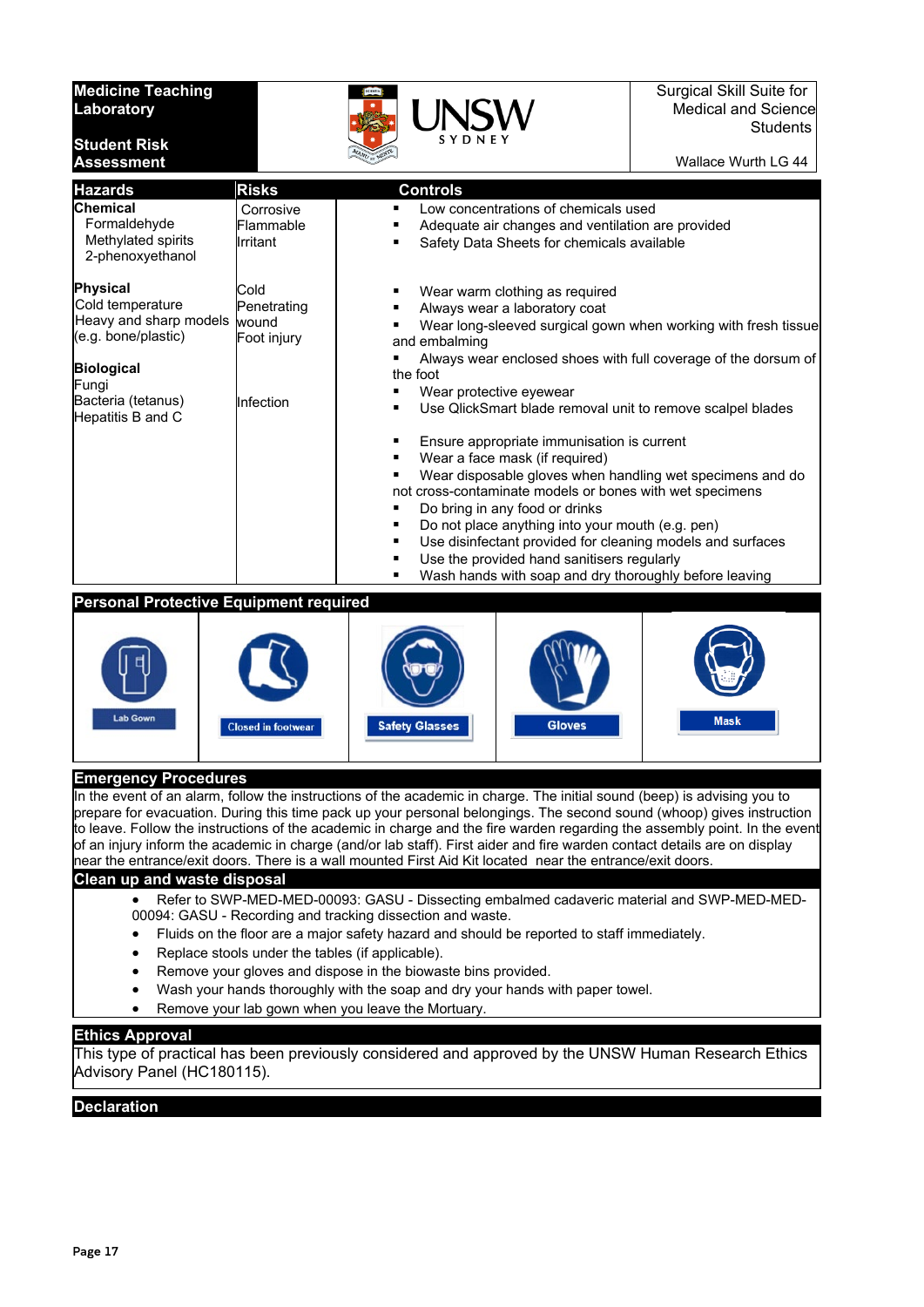#### **Medicine Teaching Laboratory**

**Student Risk** 



Wallace Wurth LG 44

| <b>Assessment</b>                                                                                                                                             |                                                                                                                                                                                                                                                                                                                                                                                                                     | $\frac{1}{\sqrt{2}}$                                                                                                                                                                                                                                                                                                                                                                                                                                                                                                                                                                                                      | Wallace Wurth LG 44 |  |
|---------------------------------------------------------------------------------------------------------------------------------------------------------------|---------------------------------------------------------------------------------------------------------------------------------------------------------------------------------------------------------------------------------------------------------------------------------------------------------------------------------------------------------------------------------------------------------------------|---------------------------------------------------------------------------------------------------------------------------------------------------------------------------------------------------------------------------------------------------------------------------------------------------------------------------------------------------------------------------------------------------------------------------------------------------------------------------------------------------------------------------------------------------------------------------------------------------------------------------|---------------------|--|
| <b>Hazards</b>                                                                                                                                                | <b>Risks</b>                                                                                                                                                                                                                                                                                                                                                                                                        | <b>Controls</b>                                                                                                                                                                                                                                                                                                                                                                                                                                                                                                                                                                                                           |                     |  |
| <b>Chemical</b><br>Formaldehyde<br>Methylated spirits<br>2-phenoxyethanol                                                                                     | Corrosive<br>Flammable<br>Irritant                                                                                                                                                                                                                                                                                                                                                                                  | Low concentrations of chemicals used<br>Adequate air changes and ventilation are provided<br>٠<br>Safety Data Sheets for chemicals available<br>$\blacksquare$                                                                                                                                                                                                                                                                                                                                                                                                                                                            |                     |  |
| <b>Physical</b><br>Cold temperature<br>Heavy and sharp models<br>(e.g. bone/plastic)<br><b>Biological</b><br>Fungi<br>Bacteria (tetanus)<br>Hepatitis B and C | Cold<br>Wear warm clothing as required<br>п<br>Penetrating<br>Always wear a laboratory coat<br>٠<br>wound<br>Wear long-sleeved surgical gown when working with fresh tissue<br>٠<br>Foot injury<br>and embalming<br>Always wear enclosed shoes with full coverage of the dorsum of<br>٠<br>the foot<br>Wear protective eyewear<br>٠<br>Infection<br>Use QlickSmart blade removal unit to remove scalpel blades<br>٠ |                                                                                                                                                                                                                                                                                                                                                                                                                                                                                                                                                                                                                           |                     |  |
|                                                                                                                                                               |                                                                                                                                                                                                                                                                                                                                                                                                                     | ٠<br>Ensure appropriate immunisation is current<br>Wear a face mask (if required)<br>٠<br>Wear disposable gloves when handling wet specimens and do<br>$\blacksquare$<br>not cross-contaminate models or bones with wet specimens<br>Do bring in any food or drinks<br>٠<br>Do not place anything into your mouth (e.g. pen)<br>٠<br>Use disinfectant provided for cleaning models and surfaces<br>٠<br>Use the provided hand sanitisers regularly<br>٠<br>Wash hands with soap and dry thoroughly before leaving<br>٠                                                                                                    |                     |  |
| <b>Personal Protective Equipment required</b><br><b>Lab Gown</b>                                                                                              | <b>Closed in footwear</b>                                                                                                                                                                                                                                                                                                                                                                                           | <b>Safety Glasses</b><br>Gloves                                                                                                                                                                                                                                                                                                                                                                                                                                                                                                                                                                                           | <b>Mask</b>         |  |
| <b>Emergency Procedures</b><br><b>Clean up and waste disposal</b>                                                                                             |                                                                                                                                                                                                                                                                                                                                                                                                                     | In the event of an alarm, follow the instructions of the academic in charge. The initial sound (beep) is advising you to<br>prepare for evacuation. During this time pack up your personal belongings. The second sound (whoop) gives instruction<br>to leave. Follow the instructions of the academic in charge and the fire warden regarding the assembly point. In the event<br>of an injury inform the academic in charge (and/or lab staff). First aider and fire warden contact details are on display<br>near the entrance/exit doors. There is a wall mounted First Aid Kit located near the entrance/exit doors. |                     |  |
|                                                                                                                                                               |                                                                                                                                                                                                                                                                                                                                                                                                                     | Refer to SWP-MED-MED-00093: GASU - Dissecting embalmed cadaveric material and SWP-MED-MED-<br>00094: GASU - Recording and tracking dissection and waste.                                                                                                                                                                                                                                                                                                                                                                                                                                                                  |                     |  |

- Fluids on the floor are a major safety hazard and should be reported to staff immediately.
- Replace stools under the tables (if applicable).
- Remove your gloves and dispose in the biowaste bins provided.
- Wash your hands thoroughly with the soap and dry your hands with paper towel.
- Remove your lab gown when you leave the Mortuary.

### **Ethics Approval**

This type of practical has been previously considered and approved by the UNSW Human Research Ethics Advisory Panel (HC180115).

### **Declaration**